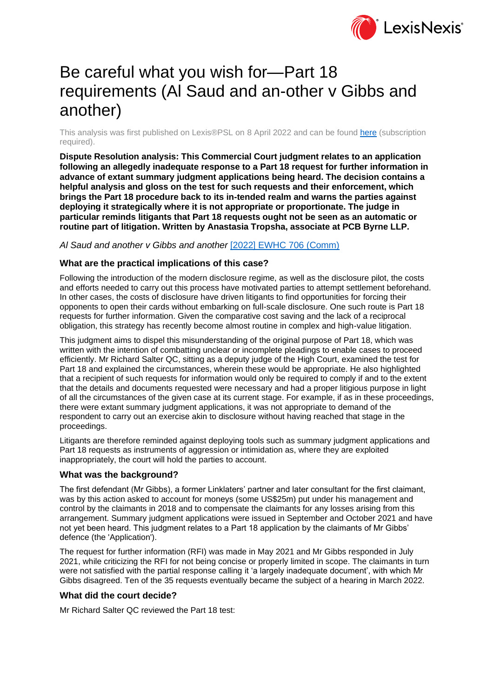

# Be careful what you wish for—Part 18 requirements (Al Saud and an-other v Gibbs and another)

This analysis was first published on Lexis®PSL on 8 April 2022 and can be found [here](https://www.lexisnexis.com/uk/lexispsl/personalinjury/docfromresult/D-WA-A-AV-AV-MsSWYWC-UUW-UZEYAAUUW-U-U-U-U-U-U-AZCWCWUBZZ-AZCUAUAAZZ-BZYUBYVAV-U-U/1/412012?lni=655W-DDN3-CGX8-04JK-00000-00) (subscription required).

**Dispute Resolution analysis: This Commercial Court judgment relates to an application following an allegedly inadequate response to a Part 18 request for further information in advance of extant summary judgment applications being heard. The decision contains a helpful analysis and gloss on the test for such requests and their enforcement, which brings the Part 18 procedure back to its in-tended realm and warns the parties against deploying it strategically where it is not appropriate or proportionate. The judge in particular reminds litigants that Part 18 requests ought not be seen as an automatic or routine part of litigation. Written by Anastasia Tropsha, associate at PCB Byrne LLP.**

## *Al Saud and another v Gibbs and another* [\[2022\] EWHC 706 \(Comm\)](https://www.lexisnexis.com/uk/lexispsl/personalinjury/citationlinkHandler.faces?bct=A&service=citation&risb=&EWHCCOMM&$sel1!%252022%25$year!%252022%25$page!%25706%25)

## **What are the practical implications of this case?**

Following the introduction of the modern disclosure regime, as well as the disclosure pilot, the costs and efforts needed to carry out this process have motivated parties to attempt settlement beforehand. In other cases, the costs of disclosure have driven litigants to find opportunities for forcing their opponents to open their cards without embarking on full-scale disclosure. One such route is Part 18 requests for further information. Given the comparative cost saving and the lack of a reciprocal obligation, this strategy has recently become almost routine in complex and high-value litigation.

This judgment aims to dispel this misunderstanding of the original purpose of Part 18, which was written with the intention of combatting unclear or incomplete pleadings to enable cases to proceed efficiently. Mr Richard Salter QC, sitting as a deputy judge of the High Court, examined the test for Part 18 and explained the circumstances, wherein these would be appropriate. He also highlighted that a recipient of such requests for information would only be required to comply if and to the extent that the details and documents requested were necessary and had a proper litigious purpose in light of all the circumstances of the given case at its current stage. For example, if as in these proceedings, there were extant summary judgment applications, it was not appropriate to demand of the respondent to carry out an exercise akin to disclosure without having reached that stage in the proceedings.

Litigants are therefore reminded against deploying tools such as summary judgment applications and Part 18 requests as instruments of aggression or intimidation as, where they are exploited inappropriately, the court will hold the parties to account.

### **What was the background?**

The first defendant (Mr Gibbs), a former Linklaters' partner and later consultant for the first claimant, was by this action asked to account for moneys (some US\$25m) put under his management and control by the claimants in 2018 and to compensate the claimants for any losses arising from this arrangement. Summary judgment applications were issued in September and October 2021 and have not yet been heard. This judgment relates to a Part 18 application by the claimants of Mr Gibbs' defence (the 'Application').

The request for further information (RFI) was made in May 2021 and Mr Gibbs responded in July 2021, while criticizing the RFI for not being concise or properly limited in scope. The claimants in turn were not satisfied with the partial response calling it 'a largely inadequate document', with which Mr Gibbs disagreed. Ten of the 35 requests eventually became the subject of a hearing in March 2022.

### **What did the court decide?**

Mr Richard Salter QC reviewed the Part 18 test: